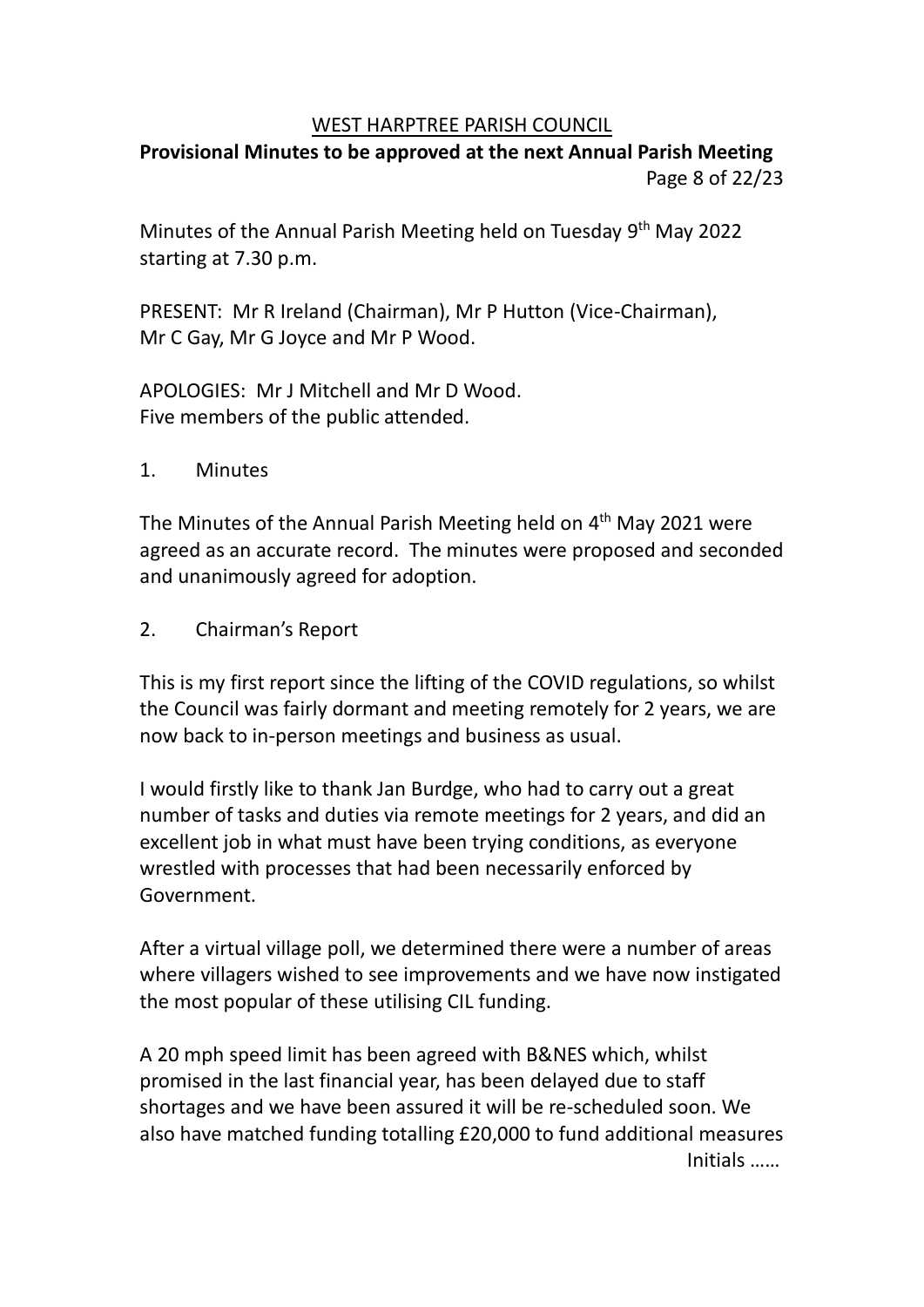#### WEST HARPTREE PARISH COUNCIL

# **Provisional Minutes to be approved at the next Annual Parish Meeting** Page 8 of 22/23

Minutes of the Annual Parish Meeting held on Tuesday 9<sup>th</sup> May 2022 starting at 7.30 p.m.

PRESENT: Mr R Ireland (Chairman), Mr P Hutton (Vice-Chairman), Mr C Gay, Mr G Joyce and Mr P Wood.

APOLOGIES: Mr J Mitchell and Mr D Wood. Five members of the public attended.

1. Minutes

The Minutes of the Annual Parish Meeting held on 4<sup>th</sup> May 2021 were agreed as an accurate record. The minutes were proposed and seconded and unanimously agreed for adoption.

2. Chairman's Report

This is my first report since the lifting of the COVID regulations, so whilst the Council was fairly dormant and meeting remotely for 2 years, we are now back to in-person meetings and business as usual.

I would firstly like to thank Jan Burdge, who had to carry out a great number of tasks and duties via remote meetings for 2 years, and did an excellent job in what must have been trying conditions, as everyone wrestled with processes that had been necessarily enforced by Government.

After a virtual village poll, we determined there were a number of areas where villagers wished to see improvements and we have now instigated the most popular of these utilising CIL funding.

A 20 mph speed limit has been agreed with B&NES which, whilst promised in the last financial year, has been delayed due to staff shortages and we have been assured it will be re-scheduled soon. We also have matched funding totalling £20,000 to fund additional measures Initials ……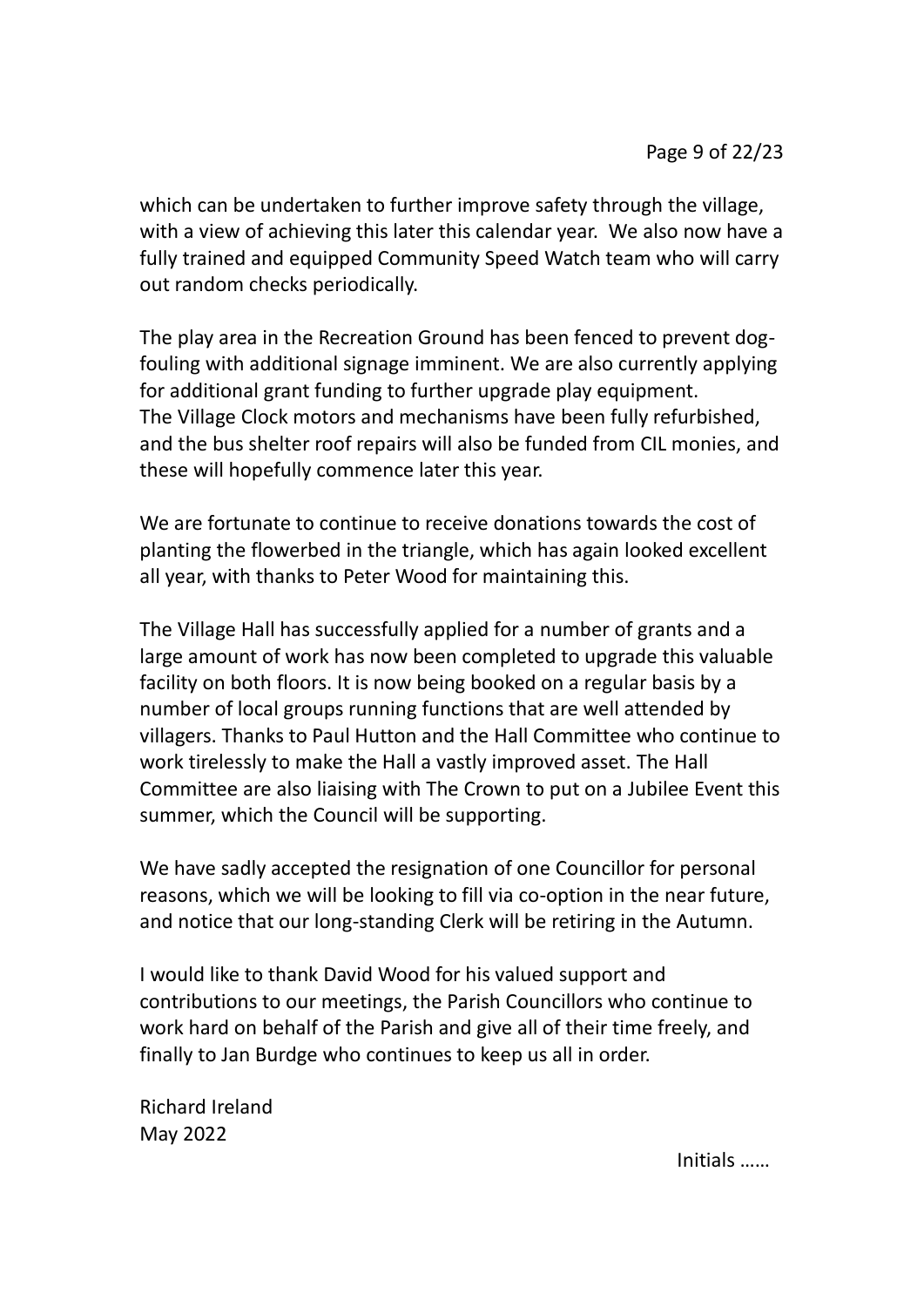which can be undertaken to further improve safety through the village, with a view of achieving this later this calendar year. We also now have a fully trained and equipped Community Speed Watch team who will carry out random checks periodically.

The play area in the Recreation Ground has been fenced to prevent dogfouling with additional signage imminent. We are also currently applying for additional grant funding to further upgrade play equipment. The Village Clock motors and mechanisms have been fully refurbished, and the bus shelter roof repairs will also be funded from CIL monies, and these will hopefully commence later this year.

We are fortunate to continue to receive donations towards the cost of planting the flowerbed in the triangle, which has again looked excellent all year, with thanks to Peter Wood for maintaining this.

The Village Hall has successfully applied for a number of grants and a large amount of work has now been completed to upgrade this valuable facility on both floors. It is now being booked on a regular basis by a number of local groups running functions that are well attended by villagers. Thanks to Paul Hutton and the Hall Committee who continue to work tirelessly to make the Hall a vastly improved asset. The Hall Committee are also liaising with The Crown to put on a Jubilee Event this summer, which the Council will be supporting.

We have sadly accepted the resignation of one Councillor for personal reasons, which we will be looking to fill via co-option in the near future, and notice that our long-standing Clerk will be retiring in the Autumn.

I would like to thank David Wood for his valued support and contributions to our meetings, the Parish Councillors who continue to work hard on behalf of the Parish and give all of their time freely, and finally to Jan Burdge who continues to keep us all in order.

Richard Ireland May 2022

Initials ……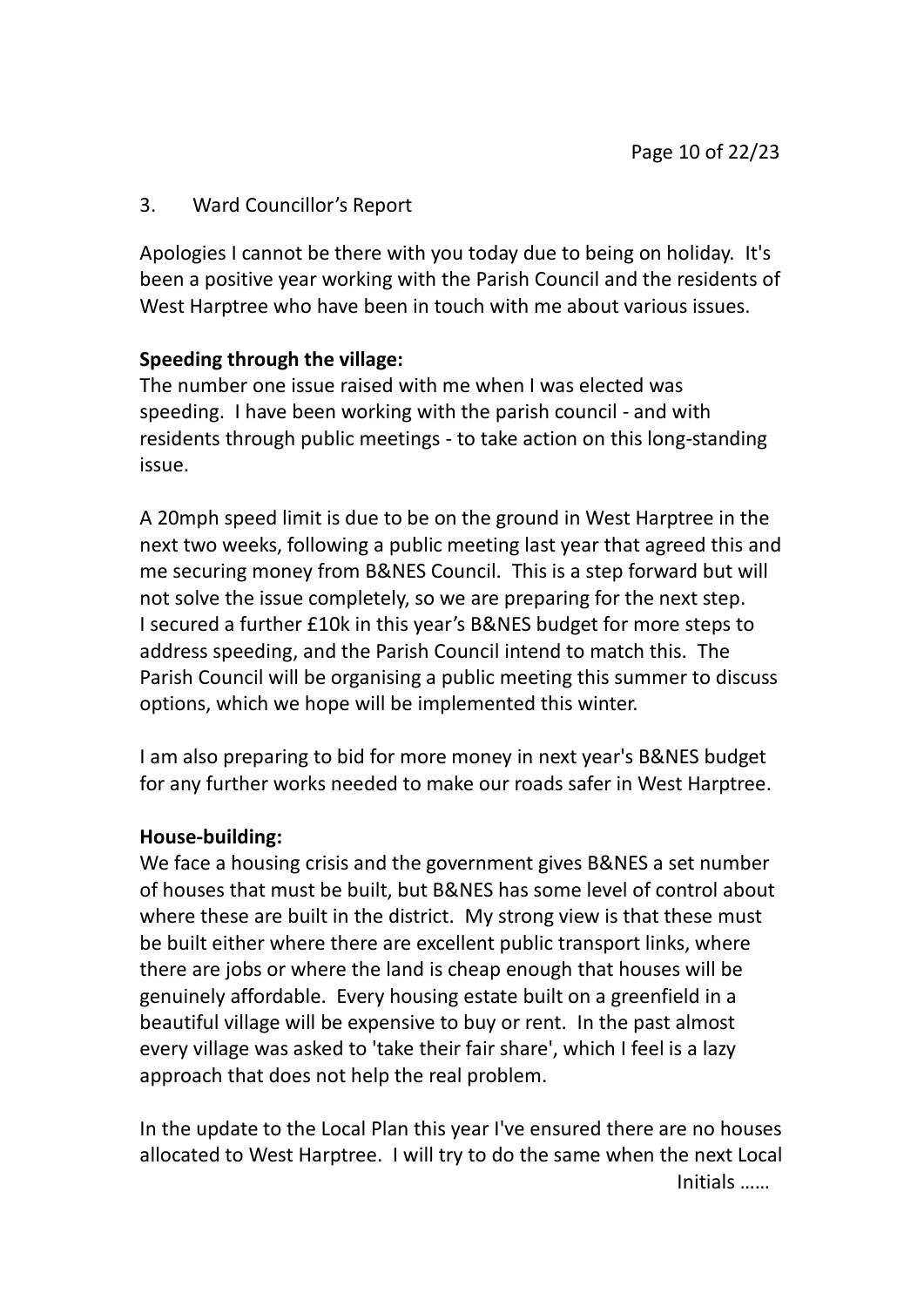### 3. Ward Councillor's Report

Apologies I cannot be there with you today due to being on holiday. It's been a positive year working with the Parish Council and the residents of West Harptree who have been in touch with me about various issues.

### **Speeding through the village:**

The number one issue raised with me when I was elected was speeding. I have been working with the parish council - and with residents through public meetings - to take action on this long-standing issue.

A 20mph speed limit is due to be on the ground in West Harptree in the next two weeks, following a public meeting last year that agreed this and me securing money from B&NES Council. This is a step forward but will not solve the issue completely, so we are preparing for the next step. I secured a further £10k in this year's B&NES budget for more steps to address speeding, and the Parish Council intend to match this. The Parish Council will be organising a public meeting this summer to discuss options, which we hope will be implemented this winter.

I am also preparing to bid for more money in next year's B&NES budget for any further works needed to make our roads safer in West Harptree.

#### **House-building:**

We face a housing crisis and the government gives B&NES a set number of houses that must be built, but B&NES has some level of control about where these are built in the district. My strong view is that these must be built either where there are excellent public transport links, where there are jobs or where the land is cheap enough that houses will be genuinely affordable. Every housing estate built on a greenfield in a beautiful village will be expensive to buy or rent. In the past almost every village was asked to 'take their fair share', which I feel is a lazy approach that does not help the real problem.

In the update to the Local Plan this year I've ensured there are no houses allocated to West Harptree. I will try to do the same when the next Local Initials ……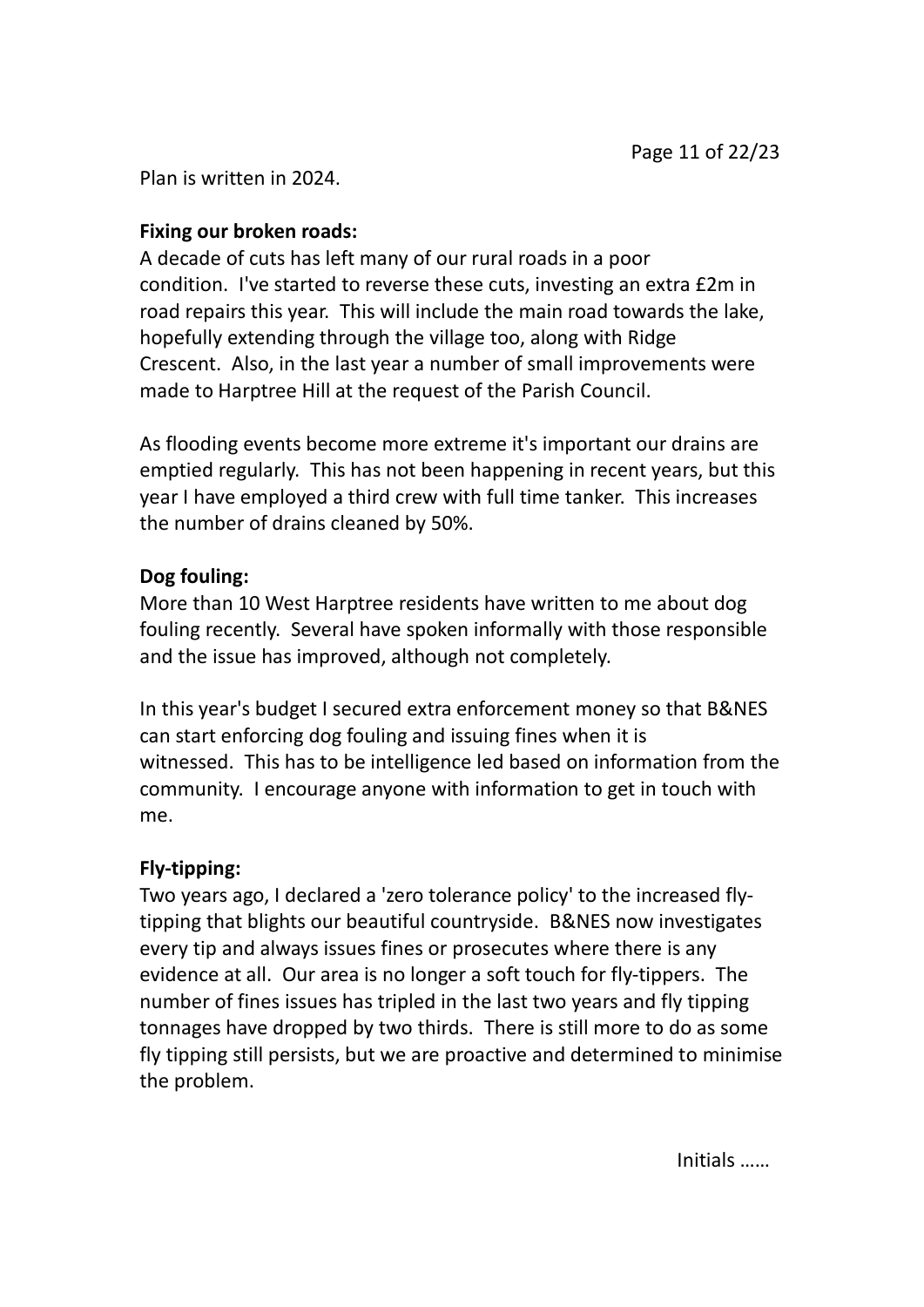Plan is written in 2024.

### **Fixing our broken roads:**

A decade of cuts has left many of our rural roads in a poor condition. I've started to reverse these cuts, investing an extra £2m in road repairs this year. This will include the main road towards the lake, hopefully extending through the village too, along with Ridge Crescent. Also, in the last year a number of small improvements were made to Harptree Hill at the request of the Parish Council.

As flooding events become more extreme it's important our drains are emptied regularly. This has not been happening in recent years, but this year I have employed a third crew with full time tanker. This increases the number of drains cleaned by 50%.

## **Dog fouling:**

More than 10 West Harptree residents have written to me about dog fouling recently. Several have spoken informally with those responsible and the issue has improved, although not completely.

In this year's budget I secured extra enforcement money so that B&NES can start enforcing dog fouling and issuing fines when it is witnessed. This has to be intelligence led based on information from the community. I encourage anyone with information to get in touch with me.

## **Fly-tipping:**

Two years ago, I declared a 'zero tolerance policy' to the increased flytipping that blights our beautiful countryside. B&NES now investigates every tip and always issues fines or prosecutes where there is any evidence at all. Our area is no longer a soft touch for fly-tippers. The number of fines issues has tripled in the last two years and fly tipping tonnages have dropped by two thirds. There is still more to do as some fly tipping still persists, but we are proactive and determined to minimise the problem.

Initials ……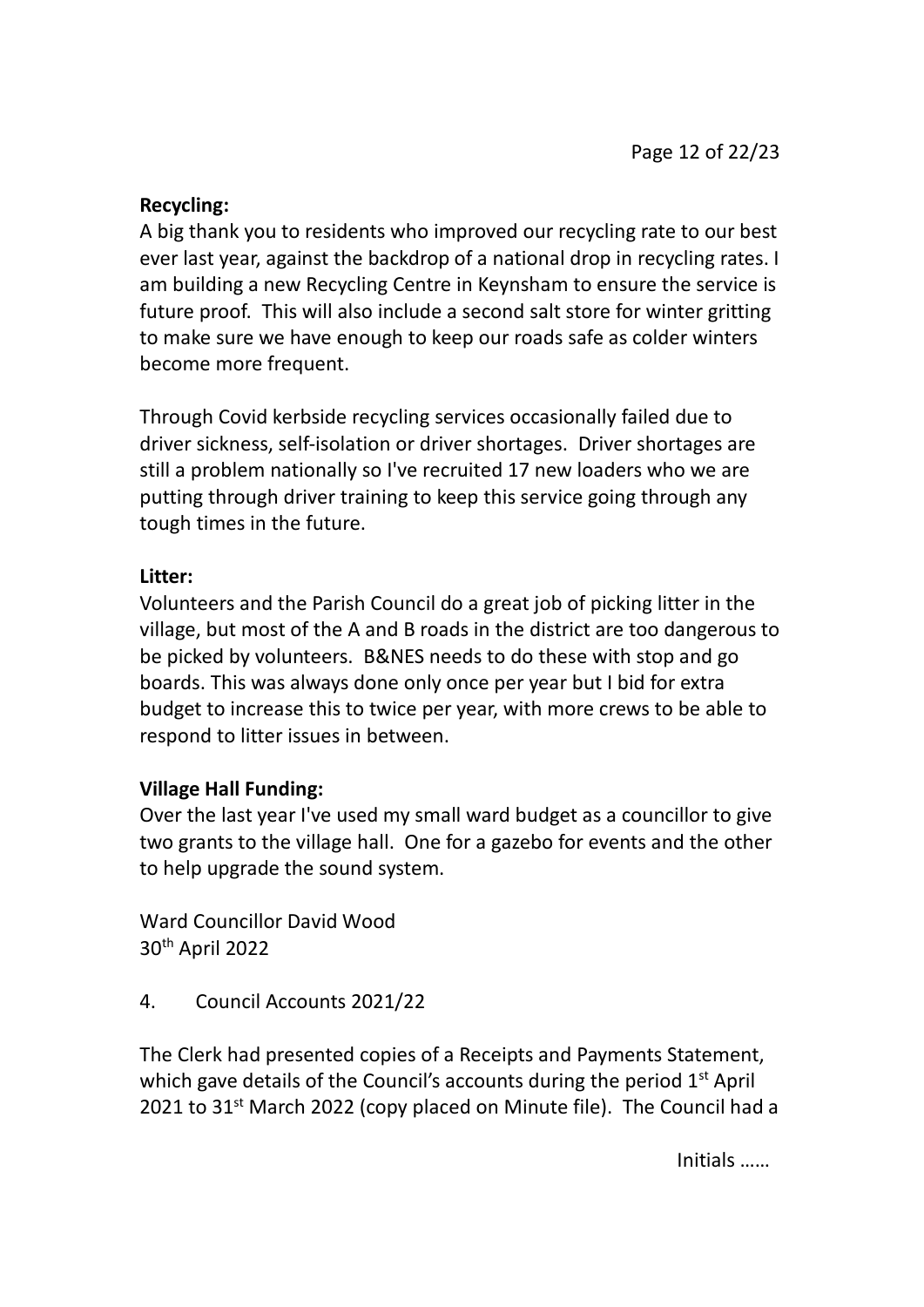### **Recycling:**

A big thank you to residents who improved our recycling rate to our best ever last year, against the backdrop of a national drop in recycling rates. I am building a new Recycling Centre in Keynsham to ensure the service is future proof. This will also include a second salt store for winter gritting to make sure we have enough to keep our roads safe as colder winters become more frequent.

Through Covid kerbside recycling services occasionally failed due to driver sickness, self-isolation or driver shortages. Driver shortages are still a problem nationally so I've recruited 17 new loaders who we are putting through driver training to keep this service going through any tough times in the future.

#### **Litter:**

Volunteers and the Parish Council do a great job of picking litter in the village, but most of the A and B roads in the district are too dangerous to be picked by volunteers. B&NES needs to do these with stop and go boards. This was always done only once per year but I bid for extra budget to increase this to twice per year, with more crews to be able to respond to litter issues in between.

## **Village Hall Funding:**

Over the last year I've used my small ward budget as a councillor to give two grants to the village hall. One for a gazebo for events and the other to help upgrade the sound system.

Ward Councillor David Wood 30th April 2022

4. Council Accounts 2021/22

The Clerk had presented copies of a Receipts and Payments Statement, which gave details of the Council's accounts during the period  $1<sup>st</sup>$  April 2021 to  $31^{st}$  March 2022 (copy placed on Minute file). The Council had a

Initials ……